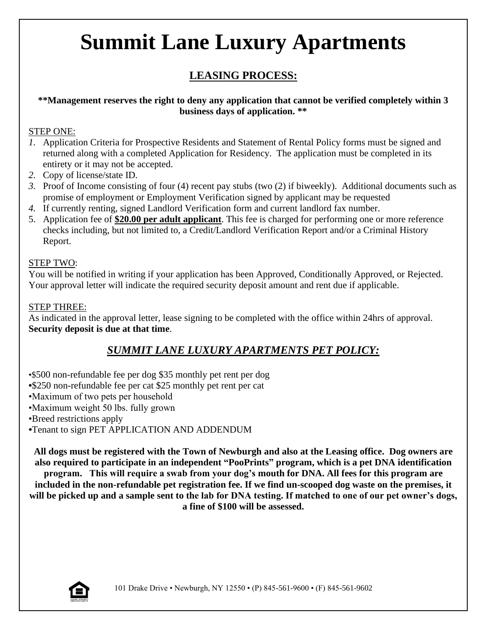# **Summit Lane Luxury Apartments**

## **LEASING PROCESS:**

### **\*\*Management reserves the right to deny any application that cannot be verified completely within 3 business days of application. \*\***

### STEP ONE:

- *1.* Application Criteria for Prospective Residents and Statement of Rental Policy forms must be signed and returned along with a completed Application for Residency. The application must be completed in its entirety or it may not be accepted.
- *2.* Copy of license/state ID.
- *3.* Proof of Income consisting of four (4) recent pay stubs (two (2) if biweekly). Additional documents such as promise of employment or Employment Verification signed by applicant may be requested
- *4.* If currently renting, signed Landlord Verification form and current landlord fax number.
- 5. Application fee of **\$20.00 per adult applicant**. This fee is charged for performing one or more reference checks including, but not limited to, a Credit/Landlord Verification Report and/or a Criminal History Report.

## STEP TWO:

You will be notified in writing if your application has been Approved, Conditionally Approved, or Rejected. Your approval letter will indicate the required security deposit amount and rent due if applicable.

## STEP THREE:

As indicated in the approval letter, lease signing to be completed with the office within 24hrs of approval. **Security deposit is due at that time**.

## *SUMMIT LANE LUXURY APARTMENTS PET POLICY:*

•\$500 non-refundable fee per dog \$35 monthly pet rent per dog **•**\$250 non-refundable fee per cat \$25 monthly pet rent per cat •Maximum of two pets per household •Maximum weight 50 lbs. fully grown •Breed restrictions apply *•*Tenant to sign PET APPLICATION AND ADDENDUM

**All dogs must be registered with the Town of Newburgh and also at the Leasing office. Dog owners are also required to participate in an independent "PooPrints" program, which is a pet DNA identification program. This will require a swab from your dog's mouth for DNA. All fees for this program are included in the non-refundable pet registration fee. If we find un-scooped dog waste on the premises, it will be picked up and a sample sent to the lab for DNA testing. If matched to one of our pet owner's dogs, a fine of \$100 will be assessed.** 

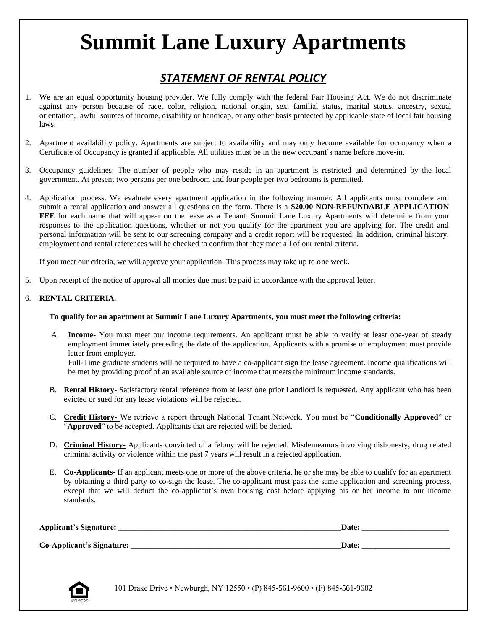# **Summit Lane Luxury Apartments**

## *STATEMENT OF RENTAL POLICY*

- 1. We are an equal opportunity housing provider. We fully comply with the federal Fair Housing Act. We do not discriminate against any person because of race, color, religion, national origin, sex, familial status, marital status, ancestry, sexual orientation, lawful sources of income, disability or handicap, or any other basis protected by applicable state of local fair housing laws.
- 2. Apartment availability policy. Apartments are subject to availability and may only become available for occupancy when a Certificate of Occupancy is granted if applicable. All utilities must be in the new occupant's name before move-in.
- 3. Occupancy guidelines: The number of people who may reside in an apartment is restricted and determined by the local government. At present two persons per one bedroom and four people per two bedrooms is permitted.
- 4. Application process. We evaluate every apartment application in the following manner. All applicants must complete and submit a rental application and answer all questions on the form. There is a **\$20.00 NON-REFUNDABLE APPLICATION FEE** for each name that will appear on the lease as a Tenant. Summit Lane Luxury Apartments will determine from your responses to the application questions, whether or not you qualify for the apartment you are applying for. The credit and personal information will be sent to our screening company and a credit report will be requested. In addition, criminal history, employment and rental references will be checked to confirm that they meet all of our rental criteria.

If you meet our criteria, we will approve your application. This process may take up to one week.

5. Upon receipt of the notice of approval all monies due must be paid in accordance with the approval letter.

#### 6. **RENTAL CRITERIA.**

#### **To qualify for an apartment at Summit Lane Luxury Apartments, you must meet the following criteria:**

A. **Income-** You must meet our income requirements. An applicant must be able to verify at least one-year of steady employment immediately preceding the date of the application. Applicants with a promise of employment must provide letter from employer.

Full-Time graduate students will be required to have a co-applicant sign the lease agreement. Income qualifications will be met by providing proof of an available source of income that meets the minimum income standards.

- B. **Rental History-** Satisfactory rental reference from at least one prior Landlord is requested. Any applicant who has been evicted or sued for any lease violations will be rejected.
- C. **Credit History-** We retrieve a report through National Tenant Network. You must be "**Conditionally Approved**" or "**Approved**" to be accepted. Applicants that are rejected will be denied.
- D. **Criminal History-** Applicants convicted of a felony will be rejected. Misdemeanors involving dishonesty, drug related criminal activity or violence within the past 7 years will result in a rejected application.
- E. **Co-Applicants-** If an applicant meets one or more of the above criteria, he or she may be able to qualify for an apartment by obtaining a third party to co-sign the lease. The co-applicant must pass the same application and screening process, except that we will deduct the co-applicant's own housing cost before applying his or her income to our income standards.

| Applicant's Signature:    | <b>Date:</b> |
|---------------------------|--------------|
| Co-Applicant's Signature: | <b>Date:</b> |



101 Drake Drive • Newburgh, NY 12550 • (P) 845-561-9600 • (F) 845-561-9602